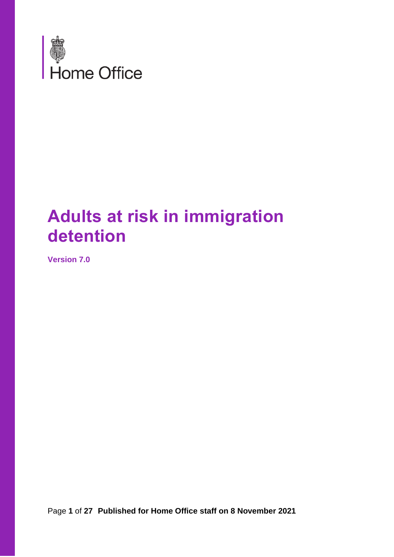

# **Adults at risk in immigration detention**

**Version 7.0**

Page **1** of **27 Published for Home Office staff on 8 November 2021**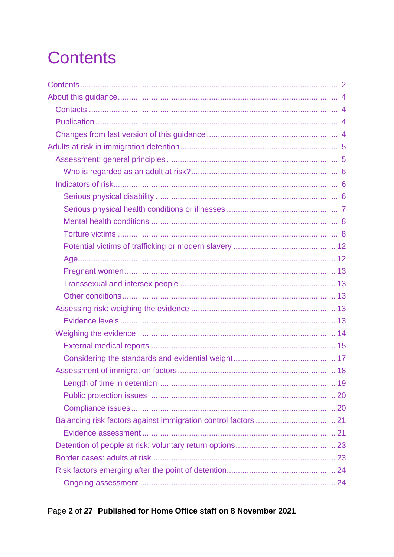# <span id="page-1-0"></span>**Contents**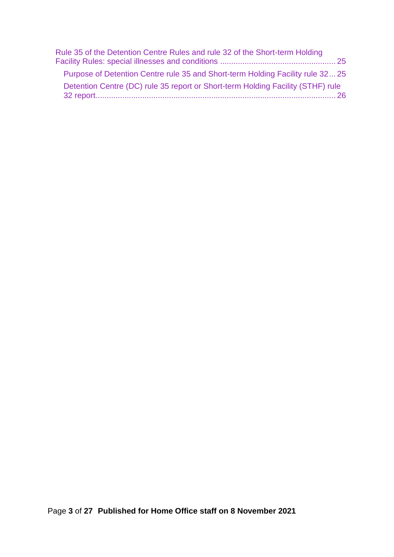| Rule 35 of the Detention Centre Rules and rule 32 of the Short-term Holding     |  |
|---------------------------------------------------------------------------------|--|
|                                                                                 |  |
| Purpose of Detention Centre rule 35 and Short-term Holding Facility rule 3225   |  |
| Detention Centre (DC) rule 35 report or Short-term Holding Facility (STHF) rule |  |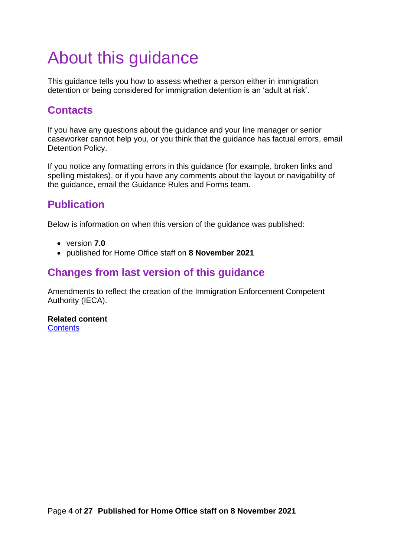# <span id="page-3-0"></span>About this guidance

This guidance tells you how to assess whether a person either in immigration detention or being considered for immigration detention is an 'adult at risk'.

# <span id="page-3-1"></span>**Contacts**

If you have any questions about the guidance and your line manager or senior caseworker cannot help you, or you think that the guidance has factual errors, email Detention Policy.

If you notice any formatting errors in this guidance (for example, broken links and spelling mistakes), or if you have any comments about the layout or navigability of the guidance, email the Guidance Rules and Forms team.

# <span id="page-3-2"></span>**Publication**

Below is information on when this version of the guidance was published:

- version **7.0**
- published for Home Office staff on **8 November 2021**

## <span id="page-3-3"></span>**Changes from last version of this guidance**

Amendments to reflect the creation of the Immigration Enforcement Competent Authority (IECA).

**Related content [Contents](#page-1-0)**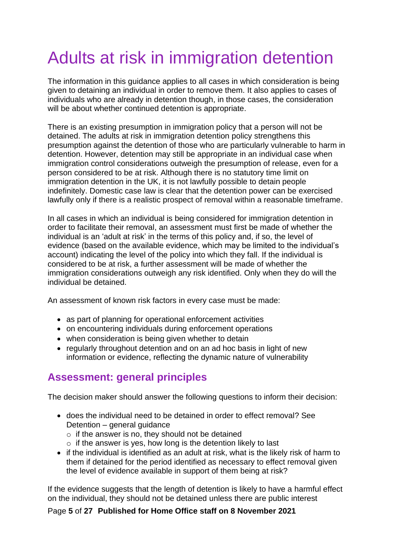# <span id="page-4-0"></span>Adults at risk in immigration detention

The information in this guidance applies to all cases in which consideration is being given to detaining an individual in order to remove them. It also applies to cases of individuals who are already in detention though, in those cases, the consideration will be about whether continued detention is appropriate.

There is an existing presumption in immigration policy that a person will not be detained. The adults at risk in immigration detention policy strengthens this presumption against the detention of those who are particularly vulnerable to harm in detention. However, detention may still be appropriate in an individual case when immigration control considerations outweigh the presumption of release, even for a person considered to be at risk. Although there is no statutory time limit on immigration detention in the UK, it is not lawfully possible to detain people indefinitely. Domestic case law is clear that the detention power can be exercised lawfully only if there is a realistic prospect of removal within a reasonable timeframe.

In all cases in which an individual is being considered for immigration detention in order to facilitate their removal, an assessment must first be made of whether the individual is an 'adult at risk' in the terms of this policy and, if so, the level of evidence (based on the available evidence, which may be limited to the individual's account) indicating the level of the policy into which they fall. If the individual is considered to be at risk, a further assessment will be made of whether the immigration considerations outweigh any risk identified. Only when they do will the individual be detained.

An assessment of known risk factors in every case must be made:

- as part of planning for operational enforcement activities
- on encountering individuals during enforcement operations
- when consideration is being given whether to detain
- regularly throughout detention and on an ad hoc basis in light of new information or evidence, reflecting the dynamic nature of vulnerability

## <span id="page-4-1"></span>**Assessment: general principles**

The decision maker should answer the following questions to inform their decision:

- does the individual need to be detained in order to effect removal? See Detention – general guidance
	- $\circ$  if the answer is no, they should not be detained
	- $\circ$  if the answer is yes, how long is the detention likely to last
- if the individual is identified as an adult at risk, what is the likely risk of harm to them if detained for the period identified as necessary to effect removal given the level of evidence available in support of them being at risk?

If the evidence suggests that the length of detention is likely to have a harmful effect on the individual, they should not be detained unless there are public interest

#### Page **5** of **27 Published for Home Office staff on 8 November 2021**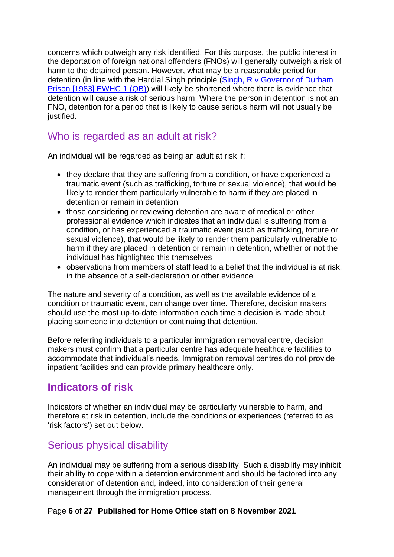concerns which outweigh any risk identified. For this purpose, the public interest in the deportation of foreign national offenders (FNOs) will generally outweigh a risk of harm to the detained person. However, what may be a reasonable period for detention (in line with the Hardial Singh principle [\(Singh, R v Governor of Durham](http://www.bailii.org/ew/cases/EWHC/QB/1983/1.html)  [Prison \[1983\] EWHC 1 \(QB\)\)](http://www.bailii.org/ew/cases/EWHC/QB/1983/1.html) will likely be shortened where there is evidence that detention will cause a risk of serious harm. Where the person in detention is not an FNO, detention for a period that is likely to cause serious harm will not usually be justified.

## <span id="page-5-0"></span>Who is regarded as an adult at risk?

An individual will be regarded as being an adult at risk if:

- they declare that they are suffering from a condition, or have experienced a traumatic event (such as trafficking, torture or sexual violence), that would be likely to render them particularly vulnerable to harm if they are placed in detention or remain in detention
- those considering or reviewing detention are aware of medical or other professional evidence which indicates that an individual is suffering from a condition, or has experienced a traumatic event (such as trafficking, torture or sexual violence), that would be likely to render them particularly vulnerable to harm if they are placed in detention or remain in detention, whether or not the individual has highlighted this themselves
- observations from members of staff lead to a belief that the individual is at risk, in the absence of a self-declaration or other evidence

The nature and severity of a condition, as well as the available evidence of a condition or traumatic event, can change over time. Therefore, decision makers should use the most up-to-date information each time a decision is made about placing someone into detention or continuing that detention.

Before referring individuals to a particular immigration removal centre, decision makers must confirm that a particular centre has adequate healthcare facilities to accommodate that individual's needs. Immigration removal centres do not provide inpatient facilities and can provide primary healthcare only.

## <span id="page-5-1"></span>**Indicators of risk**

Indicators of whether an individual may be particularly vulnerable to harm, and therefore at risk in detention, include the conditions or experiences (referred to as 'risk factors') set out below.

## <span id="page-5-2"></span>Serious physical disability

An individual may be suffering from a serious disability. Such a disability may inhibit their ability to cope within a detention environment and should be factored into any consideration of detention and, indeed, into consideration of their general management through the immigration process.

#### Page **6** of **27 Published for Home Office staff on 8 November 2021**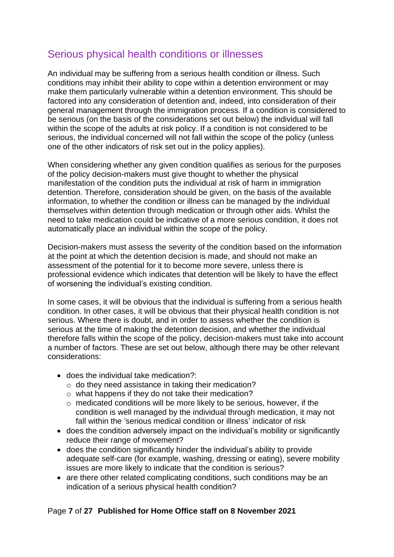## <span id="page-6-0"></span>Serious physical health conditions or illnesses

An individual may be suffering from a serious health condition or illness. Such conditions may inhibit their ability to cope within a detention environment or may make them particularly vulnerable within a detention environment. This should be factored into any consideration of detention and, indeed, into consideration of their general management through the immigration process. If a condition is considered to be serious (on the basis of the considerations set out below) the individual will fall within the scope of the adults at risk policy. If a condition is not considered to be serious, the individual concerned will not fall within the scope of the policy (unless one of the other indicators of risk set out in the policy applies).

When considering whether any given condition qualifies as serious for the purposes of the policy decision-makers must give thought to whether the physical manifestation of the condition puts the individual at risk of harm in immigration detention. Therefore, consideration should be given, on the basis of the available information, to whether the condition or illness can be managed by the individual themselves within detention through medication or through other aids. Whilst the need to take medication could be indicative of a more serious condition, it does not automatically place an individual within the scope of the policy.

Decision-makers must assess the severity of the condition based on the information at the point at which the detention decision is made, and should not make an assessment of the potential for it to become more severe, unless there is professional evidence which indicates that detention will be likely to have the effect of worsening the individual's existing condition.

In some cases, it will be obvious that the individual is suffering from a serious health condition. In other cases, it will be obvious that their physical health condition is not serious. Where there is doubt, and in order to assess whether the condition is serious at the time of making the detention decision, and whether the individual therefore falls within the scope of the policy, decision-makers must take into account a number of factors. These are set out below, although there may be other relevant considerations:

- does the individual take medication?:
	- o do they need assistance in taking their medication?
	- o what happens if they do not take their medication?
	- o medicated conditions will be more likely to be serious, however, if the condition is well managed by the individual through medication, it may not fall within the 'serious medical condition or illness' indicator of risk
- does the condition adversely impact on the individual's mobility or significantly reduce their range of movement?
- does the condition significantly hinder the individual's ability to provide adequate self-care (for example, washing, dressing or eating), severe mobility issues are more likely to indicate that the condition is serious?
- are there other related complicating conditions, such conditions may be an indication of a serious physical health condition?

#### Page **7** of **27 Published for Home Office staff on 8 November 2021**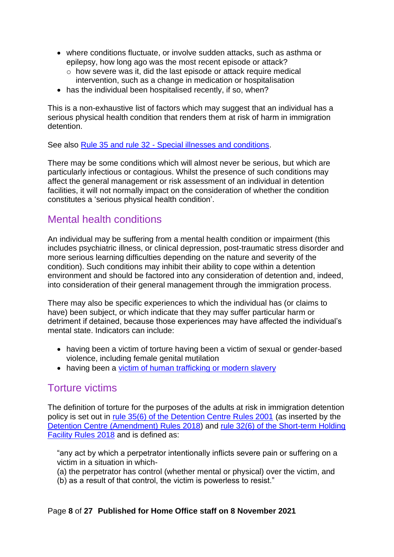- where conditions fluctuate, or involve sudden attacks, such as asthma or epilepsy, how long ago was the most recent episode or attack?
	- o how severe was it, did the last episode or attack require medical intervention, such as a change in medication or hospitalisation
- has the individual been hospitalised recently, if so, when?

This is a non-exhaustive list of factors which may suggest that an individual has a serious physical health condition that renders them at risk of harm in immigration detention.

See also Rule 35 and rule 32 - [Special illnesses and conditions.](#page-24-0)

There may be some conditions which will almost never be serious, but which are particularly infectious or contagious. Whilst the presence of such conditions may affect the general management or risk assessment of an individual in detention facilities, it will not normally impact on the consideration of whether the condition constitutes a 'serious physical health condition'.

## <span id="page-7-0"></span>Mental health conditions

An individual may be suffering from a mental health condition or impairment (this includes psychiatric illness, or clinical depression, post-traumatic stress disorder and more serious learning difficulties depending on the nature and severity of the condition). Such conditions may inhibit their ability to cope within a detention environment and should be factored into any consideration of detention and, indeed, into consideration of their general management through the immigration process.

There may also be specific experiences to which the individual has (or claims to have) been subject, or which indicate that they may suffer particular harm or detriment if detained, because those experiences may have affected the individual's mental state. Indicators can include:

- having been a victim of torture having been a victim of sexual or gender-based violence, including female genital mutilation
- having been a [victim of human trafficking or modern slavery](#page-16-0)

## <span id="page-7-1"></span>Torture victims

The definition of torture for the purposes of the adults at risk in immigration detention policy is set out in [rule 35\(6\) of the Detention Centre Rules 2001](http://www.legislation.gov.uk/uksi/2001/238/article/35/made) (as inserted by the [Detention Centre \(Amendment\) Rules 2018\)](http://www.legislation.gov.uk/uksi/2018/411/contents/made) and [rule 32\(6\) of the Short-term Holding](http://www.legislation.gov.uk/uksi/2018/409/article/32/made)  [Facility Rules 2018](http://www.legislation.gov.uk/uksi/2018/409/article/32/made) and is defined as:

"any act by which a perpetrator intentionally inflicts severe pain or suffering on a victim in a situation in which-

- (a) the perpetrator has control (whether mental or physical) over the victim, and
- (b) as a result of that control, the victim is powerless to resist."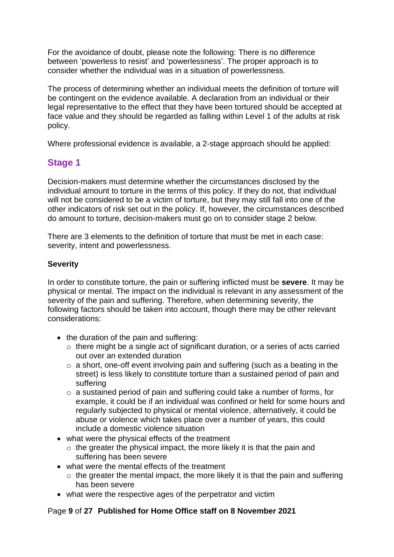For the avoidance of doubt, please note the following: There is no difference between 'powerless to resist' and 'powerlessness'. The proper approach is to consider whether the individual was in a situation of powerlessness.

The process of determining whether an individual meets the definition of torture will be contingent on the evidence available. A declaration from an individual or their legal representative to the effect that they have been tortured should be accepted at face value and they should be regarded as falling within Level 1 of the adults at risk policy.

Where professional evidence is available, a 2-stage approach should be applied:

## **Stage 1**

Decision-makers must determine whether the circumstances disclosed by the individual amount to torture in the terms of this policy. If they do not, that individual will not be considered to be a victim of torture, but they may still fall into one of the other indicators of risk set out in the policy. If, however, the circumstances described do amount to torture, decision-makers must go on to consider stage 2 below.

There are 3 elements to the definition of torture that must be met in each case: severity, intent and powerlessness.

### **Severity**

In order to constitute torture, the pain or suffering inflicted must be **severe**. It may be physical or mental. The impact on the individual is relevant in any assessment of the severity of the pain and suffering. Therefore, when determining severity, the following factors should be taken into account, though there may be other relevant considerations:

- the duration of the pain and suffering:
	- o there might be a single act of significant duration, or a series of acts carried out over an extended duration
	- o a short, one-off event involving pain and suffering (such as a beating in the street) is less likely to constitute torture than a sustained period of pain and suffering
	- o a sustained period of pain and suffering could take a number of forms, for example, it could be if an individual was confined or held for some hours and regularly subjected to physical or mental violence, alternatively, it could be abuse or violence which takes place over a number of years, this could include a domestic violence situation
- what were the physical effects of the treatment
	- $\circ$  the greater the physical impact, the more likely it is that the pain and suffering has been severe
- what were the mental effects of the treatment
	- $\circ$  the greater the mental impact, the more likely it is that the pain and suffering has been severe
- what were the respective ages of the perpetrator and victim

#### Page **9** of **27 Published for Home Office staff on 8 November 2021**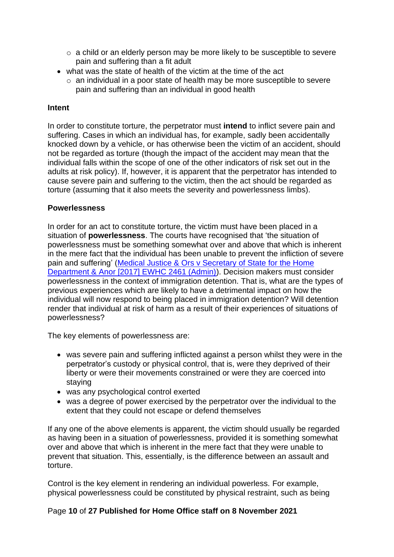- o a child or an elderly person may be more likely to be susceptible to severe pain and suffering than a fit adult
- what was the state of health of the victim at the time of the act
	- o an individual in a poor state of health may be more susceptible to severe pain and suffering than an individual in good health

#### **Intent**

In order to constitute torture, the perpetrator must **intend** to inflict severe pain and suffering. Cases in which an individual has, for example, sadly been accidentally knocked down by a vehicle, or has otherwise been the victim of an accident, should not be regarded as torture (though the impact of the accident may mean that the individual falls within the scope of one of the other indicators of risk set out in the adults at risk policy). If, however, it is apparent that the perpetrator has intended to cause severe pain and suffering to the victim, then the act should be regarded as torture (assuming that it also meets the severity and powerlessness limbs).

#### **Powerlessness**

In order for an act to constitute torture, the victim must have been placed in a situation of **powerlessness**. The courts have recognised that 'the situation of powerlessness must be something somewhat over and above that which is inherent in the mere fact that the individual has been unable to prevent the infliction of severe pain and suffering' [\(Medical Justice & Ors v Secretary of State for the Home](http://www.bailii.org/ew/cases/EWHC/Admin/2017/2461.html)  [Department & Anor \[2017\] EWHC 2461 \(Admin\)\)](http://www.bailii.org/ew/cases/EWHC/Admin/2017/2461.html). Decision makers must consider powerlessness in the context of immigration detention. That is, what are the types of previous experiences which are likely to have a detrimental impact on how the individual will now respond to being placed in immigration detention? Will detention render that individual at risk of harm as a result of their experiences of situations of powerlessness?

The key elements of powerlessness are:

- was severe pain and suffering inflicted against a person whilst they were in the perpetrator's custody or physical control, that is, were they deprived of their liberty or were their movements constrained or were they are coerced into staying
- was any psychological control exerted
- was a degree of power exercised by the perpetrator over the individual to the extent that they could not escape or defend themselves

If any one of the above elements is apparent, the victim should usually be regarded as having been in a situation of powerlessness, provided it is something somewhat over and above that which is inherent in the mere fact that they were unable to prevent that situation. This, essentially, is the difference between an assault and torture.

Control is the key element in rendering an individual powerless. For example, physical powerlessness could be constituted by physical restraint, such as being

#### Page **10** of **27 Published for Home Office staff on 8 November 2021**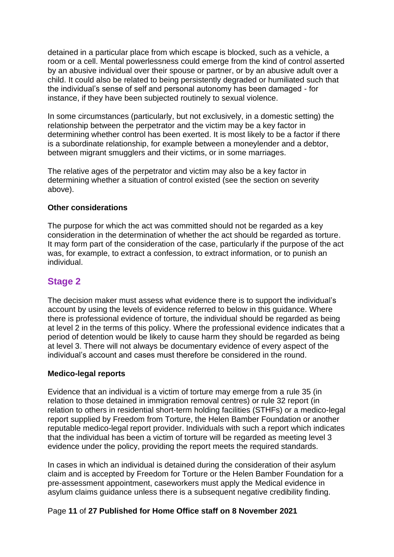detained in a particular place from which escape is blocked, such as a vehicle, a room or a cell. Mental powerlessness could emerge from the kind of control asserted by an abusive individual over their spouse or partner, or by an abusive adult over a child. It could also be related to being persistently degraded or humiliated such that the individual's sense of self and personal autonomy has been damaged - for instance, if they have been subjected routinely to sexual violence.

In some circumstances (particularly, but not exclusively, in a domestic setting) the relationship between the perpetrator and the victim may be a key factor in determining whether control has been exerted. It is most likely to be a factor if there is a subordinate relationship, for example between a moneylender and a debtor, between migrant smugglers and their victims, or in some marriages.

The relative ages of the perpetrator and victim may also be a key factor in determining whether a situation of control existed (see the section on severity above).

#### **Other considerations**

The purpose for which the act was committed should not be regarded as a key consideration in the determination of whether the act should be regarded as torture. It may form part of the consideration of the case, particularly if the purpose of the act was, for example, to extract a confession, to extract information, or to punish an individual.

## **Stage 2**

The decision maker must assess what evidence there is to support the individual's account by using the levels of evidence referred to below in this guidance. Where there is professional evidence of torture, the individual should be regarded as being at level 2 in the terms of this policy. Where the professional evidence indicates that a period of detention would be likely to cause harm they should be regarded as being at level 3. There will not always be documentary evidence of every aspect of the individual's account and cases must therefore be considered in the round.

#### **Medico-legal reports**

Evidence that an individual is a victim of torture may emerge from a rule 35 (in relation to those detained in immigration removal centres) or rule 32 report (in relation to others in residential short-term holding facilities (STHFs) or a medico-legal report supplied by Freedom from Torture, the Helen Bamber Foundation or another reputable medico-legal report provider. Individuals with such a report which indicates that the individual has been a victim of torture will be regarded as meeting level 3 evidence under the policy, providing the report meets the required standards.

In cases in which an individual is detained during the consideration of their asylum claim and is accepted by Freedom for Torture or the Helen Bamber Foundation for a pre-assessment appointment, caseworkers must apply the Medical evidence in asylum claims guidance unless there is a subsequent negative credibility finding.

#### Page **11** of **27 Published for Home Office staff on 8 November 2021**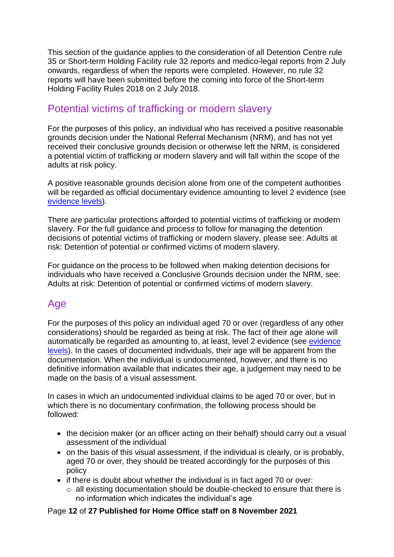This section of the guidance applies to the consideration of all Detention Centre rule 35 or Short-term Holding Facility rule 32 reports and medico-legal reports from 2 July onwards, regardless of when the reports were completed. However, no rule 32 reports will have been submitted before the coming into force of the Short-term Holding Facility Rules 2018 on 2 July 2018.

## <span id="page-11-0"></span>Potential victims of trafficking or modern slavery

For the purposes of this policy, an individual who has received a positive reasonable grounds decision under the National Referral Mechanism (NRM), and has not yet received their conclusive grounds decision or otherwise left the NRM, is considered a potential victim of trafficking or modern slavery and will fall within the scope of the adults at risk policy.

A positive reasonable grounds decision alone from one of the competent authorities will be regarded as official documentary evidence amounting to level 2 evidence (see [evidence levels\)](#page-12-4).

There are particular protections afforded to potential victims of trafficking or modern slavery. For the full guidance and process to follow for managing the detention decisions of potential victims of trafficking or modern slavery, please see: Adults at risk: Detention of potential or confirmed victims of modern slavery.

For guidance on the process to be followed when making detention decisions for individuals who have received a Conclusive Grounds decision under the NRM, see: Adults at risk: Detention of potential or confirmed victims of modern slavery.

## <span id="page-11-1"></span>Age

For the purposes of this policy an individual aged 70 or over (regardless of any other considerations) should be regarded as being at risk. The fact of their age alone will automatically be regarded as amounting to, at least, level 2 [evidence](#page-12-4) (see evidence [levels\)](#page-12-4). In the cases of documented individuals, their age will be apparent from the documentation. When the individual is undocumented, however, and there is no definitive information available that indicates their age, a judgement may need to be made on the basis of a visual assessment.

In cases in which an undocumented individual claims to be aged 70 or over, but in which there is no documentary confirmation, the following process should be followed:

- the decision maker (or an officer acting on their behalf) should carry out a visual assessment of the individual
- on the basis of this visual assessment, if the individual is clearly, or is probably, aged 70 or over, they should be treated accordingly for the purposes of this policy
- if there is doubt about whether the individual is in fact aged 70 or over:
	- o all existing documentation should be double-checked to ensure that there is no information which indicates the individual's age

#### Page **12** of **27 Published for Home Office staff on 8 November 2021**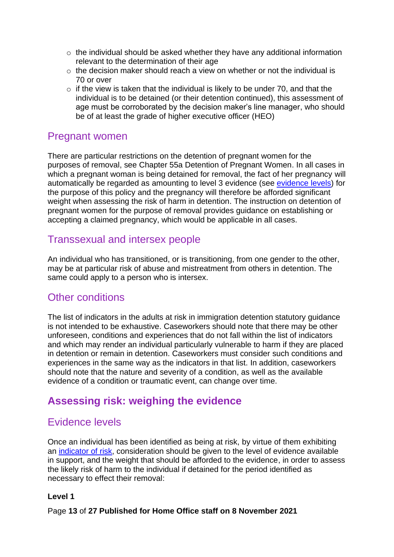- $\circ$  the individual should be asked whether they have any additional information relevant to the determination of their age
- $\circ$  the decision maker should reach a view on whether or not the individual is 70 or over
- $\circ$  if the view is taken that the individual is likely to be under 70, and that the individual is to be detained (or their detention continued), this assessment of age must be corroborated by the decision maker's line manager, who should be of at least the grade of higher executive officer (HEO)

## <span id="page-12-0"></span>Pregnant women

There are particular restrictions on the detention of pregnant women for the purposes of removal, see Chapter 55a Detention of Pregnant Women. In all cases in which a pregnant woman is being detained for removal, the fact of her pregnancy will automatically be regarded as amounting to level 3 evidence (see [evidence levels\)](#page-12-4) for the purpose of this policy and the pregnancy will therefore be afforded significant weight when assessing the risk of harm in detention. The instruction on detention of pregnant women for the purpose of removal provides guidance on establishing or accepting a claimed pregnancy, which would be applicable in all cases.

## <span id="page-12-1"></span>Transsexual and intersex people

An individual who has transitioned, or is transitioning, from one gender to the other, may be at particular risk of abuse and mistreatment from others in detention. The same could apply to a person who is intersex.

## <span id="page-12-2"></span>Other conditions

The list of indicators in the adults at risk in immigration detention statutory guidance is not intended to be exhaustive. Caseworkers should note that there may be other unforeseen, conditions and experiences that do not fall within the list of indicators and which may render an individual particularly vulnerable to harm if they are placed in detention or remain in detention. Caseworkers must consider such conditions and experiences in the same way as the indicators in that list. In addition, caseworkers should note that the nature and severity of a condition, as well as the available evidence of a condition or traumatic event, can change over time.

## <span id="page-12-3"></span>**Assessing risk: weighing the evidence**

## <span id="page-12-4"></span>Evidence levels

Once an individual has been identified as being at risk, by virtue of them exhibiting an [indicator of risk,](#page-5-1) consideration should be given to the level of evidence available in support, and the weight that should be afforded to the evidence, in order to assess the likely risk of harm to the individual if detained for the period identified as necessary to effect their removal:

#### **Level 1**

Page **13** of **27 Published for Home Office staff on 8 November 2021**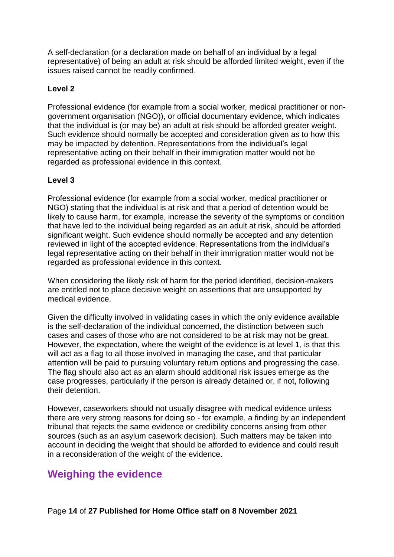A self-declaration (or a declaration made on behalf of an individual by a legal representative) of being an adult at risk should be afforded limited weight, even if the issues raised cannot be readily confirmed.

#### **Level 2**

Professional evidence (for example from a social worker, medical practitioner or nongovernment organisation (NGO)), or official documentary evidence, which indicates that the individual is (or may be) an adult at risk should be afforded greater weight. Such evidence should normally be accepted and consideration given as to how this may be impacted by detention. Representations from the individual's legal representative acting on their behalf in their immigration matter would not be regarded as professional evidence in this context.

#### **Level 3**

Professional evidence (for example from a social worker, medical practitioner or NGO) stating that the individual is at risk and that a period of detention would be likely to cause harm, for example, increase the severity of the symptoms or condition that have led to the individual being regarded as an adult at risk, should be afforded significant weight. Such evidence should normally be accepted and any detention reviewed in light of the accepted evidence. Representations from the individual's legal representative acting on their behalf in their immigration matter would not be regarded as professional evidence in this context.

When considering the likely risk of harm for the period identified, decision-makers are entitled not to place decisive weight on assertions that are unsupported by medical evidence.

Given the difficulty involved in validating cases in which the only evidence available is the self-declaration of the individual concerned, the distinction between such cases and cases of those who are not considered to be at risk may not be great. However, the expectation, where the weight of the evidence is at level 1, is that this will act as a flag to all those involved in managing the case, and that particular attention will be paid to pursuing voluntary return options and progressing the case. The flag should also act as an alarm should additional risk issues emerge as the case progresses, particularly if the person is already detained or, if not, following their detention.

However, caseworkers should not usually disagree with medical evidence unless there are very strong reasons for doing so - for example, a finding by an independent tribunal that rejects the same evidence or credibility concerns arising from other sources (such as an asylum casework decision). Such matters may be taken into account in deciding the weight that should be afforded to evidence and could result in a reconsideration of the weight of the evidence.

## <span id="page-13-0"></span>**Weighing the evidence**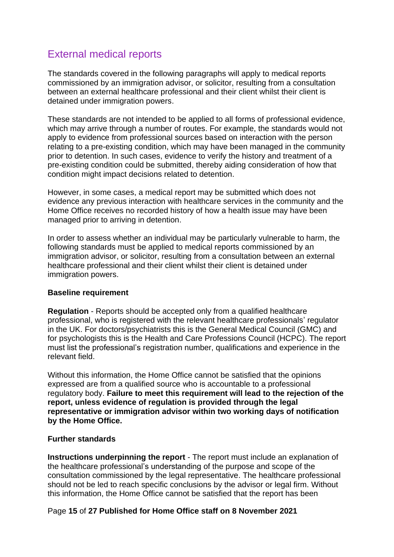# <span id="page-14-0"></span>External medical reports

The standards covered in the following paragraphs will apply to medical reports commissioned by an immigration advisor, or solicitor, resulting from a consultation between an external healthcare professional and their client whilst their client is detained under immigration powers.

These standards are not intended to be applied to all forms of professional evidence, which may arrive through a number of routes. For example, the standards would not apply to evidence from professional sources based on interaction with the person relating to a pre-existing condition, which may have been managed in the community prior to detention. In such cases, evidence to verify the history and treatment of a pre-existing condition could be submitted, thereby aiding consideration of how that condition might impact decisions related to detention.

However, in some cases, a medical report may be submitted which does not evidence any previous interaction with healthcare services in the community and the Home Office receives no recorded history of how a health issue may have been managed prior to arriving in detention.

In order to assess whether an individual may be particularly vulnerable to harm, the following standards must be applied to medical reports commissioned by an immigration advisor, or solicitor, resulting from a consultation between an external healthcare professional and their client whilst their client is detained under immigration powers.

#### <span id="page-14-1"></span>**Baseline requirement**

**Regulation** - Reports should be accepted only from a qualified healthcare professional, who is registered with the relevant healthcare professionals' regulator in the UK. For doctors/psychiatrists this is the General Medical Council (GMC) and for psychologists this is the Health and Care Professions Council (HCPC). The report must list the professional's registration number, qualifications and experience in the relevant field.

Without this information, the Home Office cannot be satisfied that the opinions expressed are from a qualified source who is accountable to a professional regulatory body. **Failure to meet this requirement will lead to the rejection of the report, unless evidence of regulation is provided through the legal representative or immigration advisor within two working days of notification by the Home Office.**

#### **Further standards**

**Instructions underpinning the report** - The report must include an explanation of the healthcare professional's understanding of the purpose and scope of the consultation commissioned by the legal representative. The healthcare professional should not be led to reach specific conclusions by the advisor or legal firm. Without this information, the Home Office cannot be satisfied that the report has been

#### Page **15** of **27 Published for Home Office staff on 8 November 2021**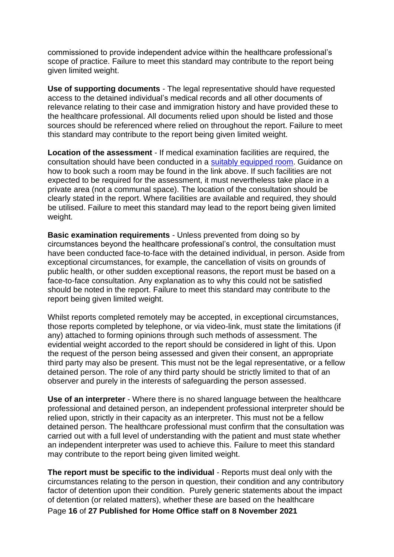commissioned to provide independent advice within the healthcare professional's scope of practice. Failure to meet this standard may contribute to the report being given limited weight.

**Use of supporting documents** - The legal representative should have requested access to the detained individual's medical records and all other documents of relevance relating to their case and immigration history and have provided these to the healthcare professional. All documents relied upon should be listed and those sources should be referenced where relied on throughout the report. Failure to meet this standard may contribute to the report being given limited weight.

**Location of the assessment** - If medical examination facilities are required, the consultation should have been conducted in a [suitably equipped room.](https://www.gov.uk/government/publications/medical-visits-for-people-in-immigration-removal-centres/medical-visits-for-people-in-immigration-removal-centres) Guidance on how to book such a room may be found in the link above. If such facilities are not expected to be required for the assessment, it must nevertheless take place in a private area (not a communal space). The location of the consultation should be clearly stated in the report. Where facilities are available and required, they should be utilised. Failure to meet this standard may lead to the report being given limited weight.

**Basic examination requirements** - Unless prevented from doing so by circumstances beyond the healthcare professional's control, the consultation must have been conducted face-to-face with the detained individual, in person. Aside from exceptional circumstances, for example, the cancellation of visits on grounds of public health, or other sudden exceptional reasons, the report must be based on a face-to-face consultation. Any explanation as to why this could not be satisfied should be noted in the report. Failure to meet this standard may contribute to the report being given limited weight.

Whilst reports completed remotely may be accepted, in exceptional circumstances, those reports completed by telephone, or via video-link, must state the limitations (if any) attached to forming opinions through such methods of assessment. The evidential weight accorded to the report should be considered in light of this. Upon the request of the person being assessed and given their consent, an appropriate third party may also be present. This must not be the legal representative, or a fellow detained person. The role of any third party should be strictly limited to that of an observer and purely in the interests of safeguarding the person assessed.

**Use of an interpreter** - Where there is no shared language between the healthcare professional and detained person, an independent professional interpreter should be relied upon, strictly in their capacity as an interpreter. This must not be a fellow detained person. The healthcare professional must confirm that the consultation was carried out with a full level of understanding with the patient and must state whether an independent interpreter was used to achieve this. Failure to meet this standard may contribute to the report being given limited weight.

**The report must be specific to the individual** - Reports must deal only with the circumstances relating to the person in question, their condition and any contributory factor of detention upon their condition. Purely generic statements about the impact of detention (or related matters), whether these are based on the healthcare

Page **16** of **27 Published for Home Office staff on 8 November 2021**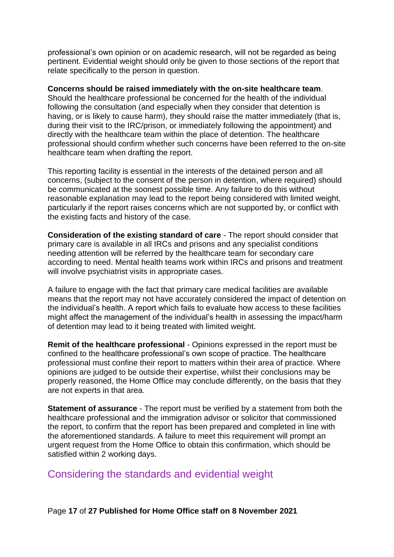professional's own opinion or on academic research, will not be regarded as being pertinent. Evidential weight should only be given to those sections of the report that relate specifically to the person in question.

#### **Concerns should be raised immediately with the on-site healthcare team**.

Should the healthcare professional be concerned for the health of the individual following the consultation (and especially when they consider that detention is having, or is likely to cause harm), they should raise the matter immediately (that is, during their visit to the IRC/prison, or immediately following the appointment) and directly with the healthcare team within the place of detention. The healthcare professional should confirm whether such concerns have been referred to the on-site healthcare team when drafting the report.

This reporting facility is essential in the interests of the detained person and all concerns, (subject to the consent of the person in detention, where required) should be communicated at the soonest possible time. Any failure to do this without reasonable explanation may lead to the report being considered with limited weight, particularly if the report raises concerns which are not supported by, or conflict with the existing facts and history of the case.

**Consideration of the existing standard of care** - The report should consider that primary care is available in all IRCs and prisons and any specialist conditions needing attention will be referred by the healthcare team for secondary care according to need. Mental health teams work within IRCs and prisons and treatment will involve psychiatrist visits in appropriate cases.

A failure to engage with the fact that primary care medical facilities are available means that the report may not have accurately considered the impact of detention on the individual's health. A report which fails to evaluate how access to these facilities might affect the management of the individual's health in assessing the impact/harm of detention may lead to it being treated with limited weight.

**Remit of the healthcare professional** - Opinions expressed in the report must be confined to the healthcare professional's own scope of practice. The healthcare professional must confine their report to matters within their area of practice. Where opinions are judged to be outside their expertise, whilst their conclusions may be properly reasoned, the Home Office may conclude differently, on the basis that they are not experts in that area.

**Statement of assurance** - The report must be verified by a statement from both the healthcare professional and the immigration advisor or solicitor that commissioned the report, to confirm that the report has been prepared and completed in line with the aforementioned standards. A failure to meet this requirement will prompt an urgent request from the Home Office to obtain this confirmation, which should be satisfied within 2 working days.

## <span id="page-16-0"></span>Considering the standards and evidential weight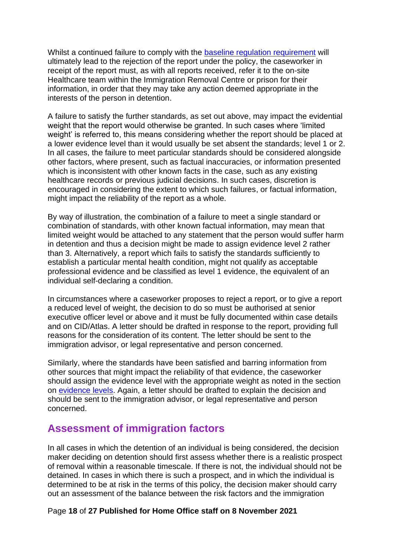Whilst a continued failure to comply with the baseline [regulation requirement](#page-14-1) will ultimately lead to the rejection of the report under the policy, the caseworker in receipt of the report must, as with all reports received, refer it to the on-site Healthcare team within the Immigration Removal Centre or prison for their information, in order that they may take any action deemed appropriate in the interests of the person in detention.

A failure to satisfy the further standards, as set out above, may impact the evidential weight that the report would otherwise be granted. In such cases where 'limited weight' is referred to, this means considering whether the report should be placed at a lower evidence level than it would usually be set absent the standards; level 1 or 2. In all cases, the failure to meet particular standards should be considered alongside other factors, where present, such as factual inaccuracies, or information presented which is inconsistent with other known facts in the case, such as any existing healthcare records or previous judicial decisions. In such cases, discretion is encouraged in considering the extent to which such failures, or factual information, might impact the reliability of the report as a whole.

By way of illustration, the combination of a failure to meet a single standard or combination of standards, with other known factual information, may mean that limited weight would be attached to any statement that the person would suffer harm in detention and thus a decision might be made to assign evidence level 2 rather than 3. Alternatively, a report which fails to satisfy the standards sufficiently to establish a particular mental health condition, might not qualify as acceptable professional evidence and be classified as level 1 evidence, the equivalent of an individual self-declaring a condition.

In circumstances where a caseworker proposes to reject a report, or to give a report a reduced level of weight, the decision to do so must be authorised at senior executive officer level or above and it must be fully documented within case details and on CID/Atlas. A letter should be drafted in response to the report, providing full reasons for the consideration of its content. The letter should be sent to the immigration advisor, or legal representative and person concerned.

Similarly, where the standards have been satisfied and barring information from other sources that might impact the reliability of that evidence, the caseworker should assign the evidence level with the appropriate weight as noted in the section on [evidence levels.](#page-12-4) Again, a letter should be drafted to explain the decision and should be sent to the immigration advisor, or legal representative and person concerned.

## <span id="page-17-0"></span>**Assessment of immigration factors**

In all cases in which the detention of an individual is being considered, the decision maker deciding on detention should first assess whether there is a realistic prospect of removal within a reasonable timescale. If there is not, the individual should not be detained. In cases in which there is such a prospect, and in which the individual is determined to be at risk in the terms of this policy, the decision maker should carry out an assessment of the balance between the risk factors and the immigration

#### Page **18** of **27 Published for Home Office staff on 8 November 2021**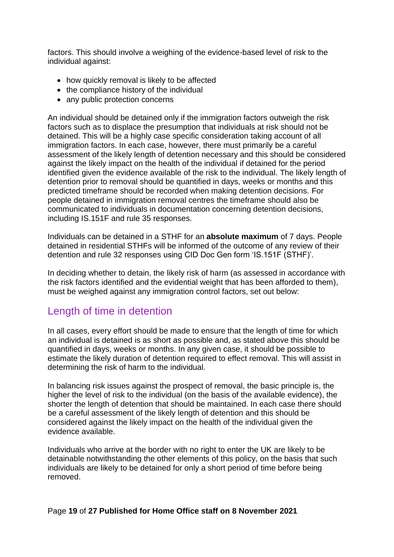factors. This should involve a weighing of the evidence-based level of risk to the individual against:

- how quickly removal is likely to be affected
- the compliance history of the individual
- any public protection concerns

An individual should be detained only if the immigration factors outweigh the risk factors such as to displace the presumption that individuals at risk should not be detained. This will be a highly case specific consideration taking account of all immigration factors. In each case, however, there must primarily be a careful assessment of the likely length of detention necessary and this should be considered against the likely impact on the health of the individual if detained for the period identified given the evidence available of the risk to the individual. The likely length of detention prior to removal should be quantified in days, weeks or months and this predicted timeframe should be recorded when making detention decisions. For people detained in immigration removal centres the timeframe should also be communicated to individuals in documentation concerning detention decisions, including IS.151F and rule 35 responses.

Individuals can be detained in a STHF for an **absolute maximum** of 7 days. People detained in residential STHFs will be informed of the outcome of any review of their detention and rule 32 responses using CID Doc Gen form 'IS.151F (STHF)'.

In deciding whether to detain, the likely risk of harm (as assessed in accordance with the risk factors identified and the evidential weight that has been afforded to them), must be weighed against any immigration control factors, set out below:

## <span id="page-18-0"></span>Length of time in detention

In all cases, every effort should be made to ensure that the length of time for which an individual is detained is as short as possible and, as stated above this should be quantified in days, weeks or months. In any given case, it should be possible to estimate the likely duration of detention required to effect removal. This will assist in determining the risk of harm to the individual.

In balancing risk issues against the prospect of removal, the basic principle is, the higher the level of risk to the individual (on the basis of the available evidence), the shorter the length of detention that should be maintained. In each case there should be a careful assessment of the likely length of detention and this should be considered against the likely impact on the health of the individual given the evidence available.

Individuals who arrive at the border with no right to enter the UK are likely to be detainable notwithstanding the other elements of this policy, on the basis that such individuals are likely to be detained for only a short period of time before being removed.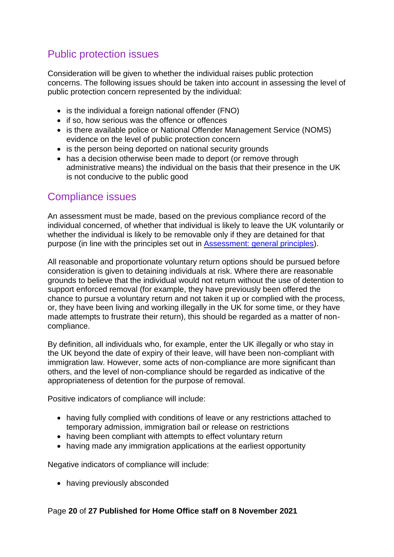# <span id="page-19-0"></span>Public protection issues

Consideration will be given to whether the individual raises public protection concerns. The following issues should be taken into account in assessing the level of public protection concern represented by the individual:

- is the individual a foreign national offender (FNO)
- if so, how serious was the offence or offences
- is there available police or National Offender Management Service (NOMS) evidence on the level of public protection concern
- is the person being deported on national security grounds
- has a decision otherwise been made to deport (or remove through administrative means) the individual on the basis that their presence in the UK is not conducive to the public good

## <span id="page-19-1"></span>Compliance issues

An assessment must be made, based on the previous compliance record of the individual concerned, of whether that individual is likely to leave the UK voluntarily or whether the individual is likely to be removable only if they are detained for that purpose (in line with the principles set out in [Assessment: general principles\)](#page-4-1).

All reasonable and proportionate voluntary return options should be pursued before consideration is given to detaining individuals at risk. Where there are reasonable grounds to believe that the individual would not return without the use of detention to support enforced removal (for example, they have previously been offered the chance to pursue a voluntary return and not taken it up or complied with the process, or, they have been living and working illegally in the UK for some time, or they have made attempts to frustrate their return), this should be regarded as a matter of noncompliance.

By definition, all individuals who, for example, enter the UK illegally or who stay in the UK beyond the date of expiry of their leave, will have been non-compliant with immigration law. However, some acts of non-compliance are more significant than others, and the level of non-compliance should be regarded as indicative of the appropriateness of detention for the purpose of removal.

Positive indicators of compliance will include:

- having fully complied with conditions of leave or any restrictions attached to temporary admission, immigration bail or release on restrictions
- having been compliant with attempts to effect voluntary return
- having made any immigration applications at the earliest opportunity

Negative indicators of compliance will include:

• having previously absconded

#### Page **20** of **27 Published for Home Office staff on 8 November 2021**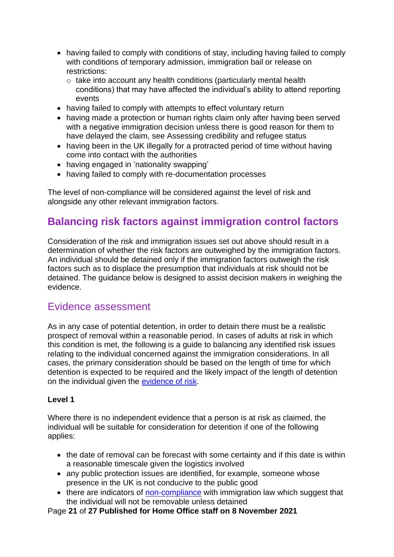- having failed to comply with conditions of stay, including having failed to comply with conditions of temporary admission, immigration bail or release on restrictions:
	- o take into account any health conditions (particularly mental health conditions) that may have affected the individual's ability to attend reporting events
- having failed to comply with attempts to effect voluntary return
- having made a protection or human rights claim only after having been served with a negative immigration decision unless there is good reason for them to have delayed the claim, see Assessing credibility and refugee status
- having been in the UK illegally for a protracted period of time without having come into contact with the authorities
- having engaged in 'nationality swapping'
- having failed to comply with re-documentation processes

The level of non-compliance will be considered against the level of risk and alongside any other relevant immigration factors.

## <span id="page-20-0"></span>**Balancing risk factors against immigration control factors**

Consideration of the risk and immigration issues set out above should result in a determination of whether the risk factors are outweighed by the immigration factors. An individual should be detained only if the immigration factors outweigh the risk factors such as to displace the presumption that individuals at risk should not be detained. The guidance below is designed to assist decision makers in weighing the evidence.

## <span id="page-20-1"></span>Evidence assessment

As in any case of potential detention, in order to detain there must be a realistic prospect of removal within a reasonable period. In cases of adults at risk in which this condition is met, the following is a guide to balancing any identified risk issues relating to the individual concerned against the immigration considerations. In all cases, the primary consideration should be based on the length of time for which detention is expected to be required and the likely impact of the length of detention on the individual given the [evidence of risk.](#page-12-3)

#### **Level 1**

Where there is no independent evidence that a person is at risk as claimed, the individual will be suitable for consideration for detention if one of the following applies:

- the date of removal can be forecast with some certainty and if this date is within a reasonable timescale given the logistics involved
- any public protection issues are identified, for example, someone whose presence in the UK is not conducive to the public good
- there are indicators of [non-compliance](#page-19-1) with immigration law which suggest that the individual will not be removable unless detained

Page **21** of **27 Published for Home Office staff on 8 November 2021**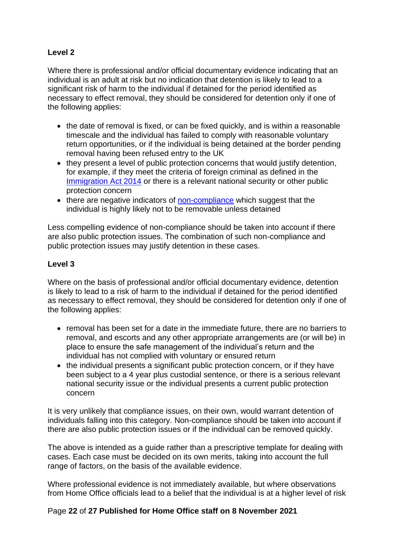### **Level 2**

Where there is professional and/or official documentary evidence indicating that an individual is an adult at risk but no indication that detention is likely to lead to a significant risk of harm to the individual if detained for the period identified as necessary to effect removal, they should be considered for detention only if one of the following applies:

- the date of removal is fixed, or can be fixed quickly, and is within a reasonable timescale and the individual has failed to comply with reasonable voluntary return opportunities, or if the individual is being detained at the border pending removal having been refused entry to the UK
- they present a level of public protection concerns that would justify detention, for example, if they meet the criteria of foreign criminal as defined in the [Immigration Act 2014](http://www.legislation.gov.uk/ukpga/2014/22/section/19) or there is a relevant national security or other public protection concern
- there are negative indicators of [non-compliance](#page-19-1) which suggest that the individual is highly likely not to be removable unless detained

Less compelling evidence of non-compliance should be taken into account if there are also public protection issues. The combination of such non-compliance and public protection issues may justify detention in these cases.

### **Level 3**

Where on the basis of professional and/or official documentary evidence, detention is likely to lead to a risk of harm to the individual if detained for the period identified as necessary to effect removal, they should be considered for detention only if one of the following applies:

- removal has been set for a date in the immediate future, there are no barriers to removal, and escorts and any other appropriate arrangements are (or will be) in place to ensure the safe management of the individual's return and the individual has not complied with voluntary or ensured return
- the individual presents a significant public protection concern, or if they have been subject to a 4 year plus custodial sentence, or there is a serious relevant national security issue or the individual presents a current public protection concern

It is very unlikely that compliance issues, on their own, would warrant detention of individuals falling into this category. Non-compliance should be taken into account if there are also public protection issues or if the individual can be removed quickly.

The above is intended as a guide rather than a prescriptive template for dealing with cases. Each case must be decided on its own merits, taking into account the full range of factors, on the basis of the available evidence.

Where professional evidence is not immediately available, but where observations from Home Office officials lead to a belief that the individual is at a higher level of risk

#### Page **22** of **27 Published for Home Office staff on 8 November 2021**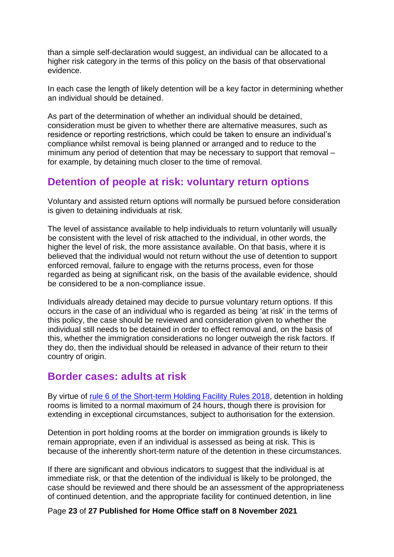than a simple self-declaration would suggest, an individual can be allocated to a higher risk category in the terms of this policy on the basis of that observational evidence.

In each case the length of likely detention will be a key factor in determining whether an individual should be detained.

As part of the determination of whether an individual should be detained, consideration must be given to whether there are alternative measures, such as residence or reporting restrictions, which could be taken to ensure an individual's compliance whilst removal is being planned or arranged and to reduce to the minimum any period of detention that may be necessary to support that removal – for example, by detaining much closer to the time of removal.

## <span id="page-22-0"></span>**Detention of people at risk: voluntary return options**

Voluntary and assisted return options will normally be pursued before consideration is given to detaining individuals at risk.

The level of assistance available to help individuals to return voluntarily will usually be consistent with the level of risk attached to the individual, in other words, the higher the level of risk, the more assistance available. On that basis, where it is believed that the individual would not return without the use of detention to support enforced removal, failure to engage with the returns process, even for those regarded as being at significant risk, on the basis of the available evidence, should be considered to be a non-compliance issue.

Individuals already detained may decide to pursue voluntary return options. If this occurs in the case of an individual who is regarded as being 'at risk' in the terms of this policy, the case should be reviewed and consideration given to whether the individual still needs to be detained in order to effect removal and, on the basis of this, whether the immigration considerations no longer outweigh the risk factors. If they do, then the individual should be released in advance of their return to their country of origin.

## <span id="page-22-1"></span>**Border cases: adults at risk**

By virtue of [rule 6 of the Short-term Holding Facility Rules 2018,](http://www.legislation.gov.uk/uksi/2018/409/article/6/made) detention in holding rooms is limited to a normal maximum of 24 hours, though there is provision for extending in exceptional circumstances, subject to authorisation for the extension.

Detention in port holding rooms at the border on immigration grounds is likely to remain appropriate, even if an individual is assessed as being at risk. This is because of the inherently short-term nature of the detention in these circumstances.

If there are significant and obvious indicators to suggest that the individual is at immediate risk, or that the detention of the individual is likely to be prolonged, the case should be reviewed and there should be an assessment of the appropriateness of continued detention, and the appropriate facility for continued detention, in line

#### Page **23** of **27 Published for Home Office staff on 8 November 2021**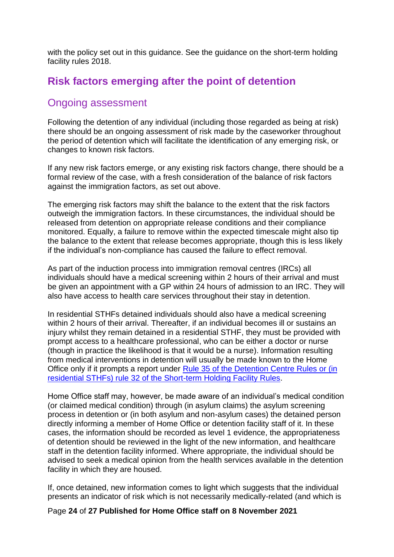with the policy set out in this guidance. See the guidance on the short-term holding facility rules 2018.

## <span id="page-23-0"></span>**Risk factors emerging after the point of detention**

## <span id="page-23-1"></span>Ongoing assessment

Following the detention of any individual (including those regarded as being at risk) there should be an ongoing assessment of risk made by the caseworker throughout the period of detention which will facilitate the identification of any emerging risk, or changes to known risk factors.

If any new risk factors emerge, or any existing risk factors change, there should be a formal review of the case, with a fresh consideration of the balance of risk factors against the immigration factors, as set out above.

The emerging risk factors may shift the balance to the extent that the risk factors outweigh the immigration factors. In these circumstances, the individual should be released from detention on appropriate release conditions and their compliance monitored. Equally, a failure to remove within the expected timescale might also tip the balance to the extent that release becomes appropriate, though this is less likely if the individual's non-compliance has caused the failure to effect removal.

As part of the induction process into immigration removal centres (IRCs) all individuals should have a medical screening within 2 hours of their arrival and must be given an appointment with a GP within 24 hours of admission to an IRC. They will also have access to health care services throughout their stay in detention.

In residential STHFs detained individuals should also have a medical screening within 2 hours of their arrival. Thereafter, if an individual becomes ill or sustains an injury whilst they remain detained in a residential STHF, they must be provided with prompt access to a healthcare professional, who can be either a doctor or nurse (though in practice the likelihood is that it would be a nurse). Information resulting from medical interventions in detention will usually be made known to the Home Office only if it prompts a report under [Rule 35 of the Detention Centre Rules](#page-24-0) or (in [residential STHFs\) rule 32 of the Short-term Holding Facility Rules.](#page-24-0)

Home Office staff may, however, be made aware of an individual's medical condition (or claimed medical condition) through (in asylum claims) the asylum screening process in detention or (in both asylum and non-asylum cases) the detained person directly informing a member of Home Office or detention facility staff of it. In these cases, the information should be recorded as level 1 evidence, the appropriateness of detention should be reviewed in the light of the new information, and healthcare staff in the detention facility informed. Where appropriate, the individual should be advised to seek a medical opinion from the health services available in the detention facility in which they are housed.

If, once detained, new information comes to light which suggests that the individual presents an indicator of risk which is not necessarily medically-related (and which is

#### Page **24** of **27 Published for Home Office staff on 8 November 2021**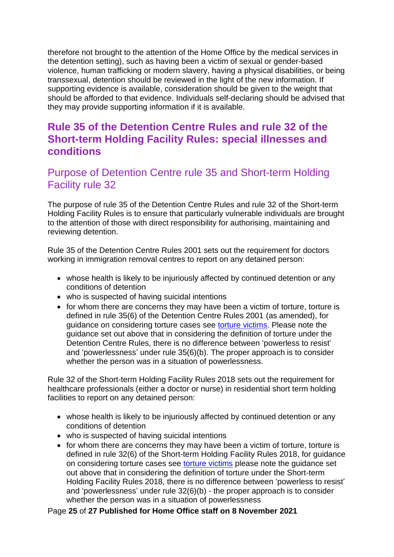therefore not brought to the attention of the Home Office by the medical services in the detention setting), such as having been a victim of sexual or gender-based violence, human trafficking or modern slavery, having a physical disabilities, or being transsexual, detention should be reviewed in the light of the new information. If supporting evidence is available, consideration should be given to the weight that should be afforded to that evidence. Individuals self-declaring should be advised that they may provide supporting information if it is available.

## <span id="page-24-0"></span>**Rule 35 of the Detention Centre Rules and rule 32 of the Short-term Holding Facility Rules: special illnesses and conditions**

## <span id="page-24-1"></span>Purpose of Detention Centre rule 35 and Short-term Holding Facility rule 32

The purpose of rule 35 of the Detention Centre Rules and rule 32 of the Short-term Holding Facility Rules is to ensure that particularly vulnerable individuals are brought to the attention of those with direct responsibility for authorising, maintaining and reviewing detention.

Rule 35 of the Detention Centre Rules 2001 sets out the requirement for doctors working in immigration removal centres to report on any detained person:

- whose health is likely to be injuriously affected by continued detention or any conditions of detention
- who is suspected of having suicidal intentions
- for whom there are concerns they may have been a victim of torture, torture is defined in rule 35(6) of the Detention Centre Rules 2001 (as amended), for guidance on considering torture cases see [torture victims.](#page-7-1) Please note the guidance set out above that in considering the definition of torture under the Detention Centre Rules, there is no difference between 'powerless to resist' and 'powerlessness' under rule 35(6)(b). The proper approach is to consider whether the person was in a situation of powerlessness.

Rule 32 of the Short-term Holding Facility Rules 2018 sets out the requirement for healthcare professionals (either a doctor or nurse) in residential short term holding facilities to report on any detained person:

- whose health is likely to be injuriously affected by continued detention or any conditions of detention
- who is suspected of having suicidal intentions
- for whom there are concerns they may have been a victim of torture, torture is defined in rule 32(6) of the Short-term Holding Facility Rules 2018, for guidance on considering torture cases see [torture victims](#page-7-1) please note the guidance set out above that in considering the definition of torture under the Short-term Holding Facility Rules 2018, there is no difference between 'powerless to resist' and 'powerlessness' under rule 32(6)(b) - the proper approach is to consider whether the person was in a situation of powerlessness

#### Page **25** of **27 Published for Home Office staff on 8 November 2021**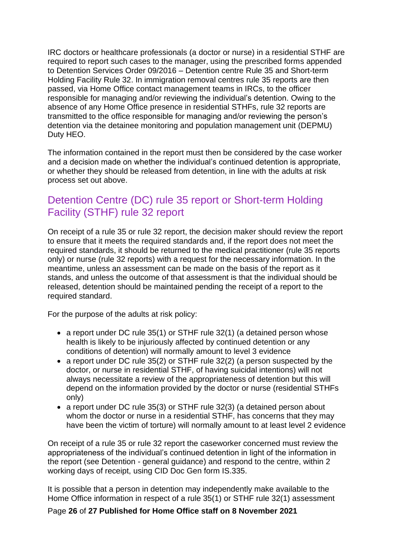IRC doctors or healthcare professionals (a doctor or nurse) in a residential STHF are required to report such cases to the manager, using the prescribed forms appended to Detention Services Order 09/2016 – Detention centre Rule 35 and Short-term Holding Facility Rule 32. In immigration removal centres rule 35 reports are then passed, via Home Office contact management teams in IRCs, to the officer responsible for managing and/or reviewing the individual's detention. Owing to the absence of any Home Office presence in residential STHFs, rule 32 reports are transmitted to the office responsible for managing and/or reviewing the person's detention via the detainee monitoring and population management unit (DEPMU) Duty HEO.

The information contained in the report must then be considered by the case worker and a decision made on whether the individual's continued detention is appropriate, or whether they should be released from detention, in line with the adults at risk process set out above.

## <span id="page-25-0"></span>Detention Centre (DC) rule 35 report or Short-term Holding Facility (STHF) rule 32 report

On receipt of a rule 35 or rule 32 report, the decision maker should review the report to ensure that it meets the required standards and, if the report does not meet the required standards, it should be returned to the medical practitioner (rule 35 reports only) or nurse (rule 32 reports) with a request for the necessary information. In the meantime, unless an assessment can be made on the basis of the report as it stands, and unless the outcome of that assessment is that the individual should be released, detention should be maintained pending the receipt of a report to the required standard.

For the purpose of the adults at risk policy:

- a report under DC rule 35(1) or STHF rule 32(1) (a detained person whose health is likely to be injuriously affected by continued detention or any conditions of detention) will normally amount to level 3 evidence
- a report under DC rule 35(2) or STHF rule 32(2) (a person suspected by the doctor, or nurse in residential STHF, of having suicidal intentions) will not always necessitate a review of the appropriateness of detention but this will depend on the information provided by the doctor or nurse (residential STHFs only)
- a report under DC rule 35(3) or STHF rule 32(3) (a detained person about whom the doctor or nurse in a residential STHF, has concerns that they may have been the victim of torture) will normally amount to at least level 2 evidence

On receipt of a rule 35 or rule 32 report the caseworker concerned must review the appropriateness of the individual's continued detention in light of the information in the report (see Detention - general guidance) and respond to the centre, within 2 working days of receipt, using CID Doc Gen form IS.335.

It is possible that a person in detention may independently make available to the Home Office information in respect of a rule 35(1) or STHF rule 32(1) assessment

Page **26** of **27 Published for Home Office staff on 8 November 2021**